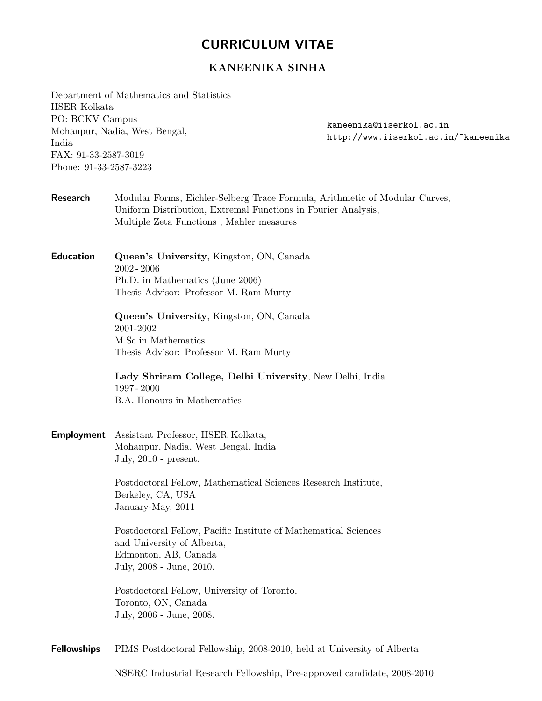## CURRICULUM VITAE

## KANEENIKA SINHA

Department of Mathematics and Statistics IISER Kolkata PO: BCKV Campus Mohanpur, Nadia, West Bengal, India FAX: 91-33-2587-3019 Phone: 91-33-2587-3223

kaneenika@iiserkol.ac.in http://www.iiserkol.ac.in/~kaneenika

- Research Modular Forms, Eichler-Selberg Trace Formula, Arithmetic of Modular Curves, Uniform Distribution, Extremal Functions in Fourier Analysis, Multiple Zeta Functions , Mahler measures
- Education Queen's University, Kingston, ON, Canada 2002 - 2006 Ph.D. in Mathematics (June 2006) Thesis Advisor: Professor M. Ram Murty

Queen's University, Kingston, ON, Canada 2001-2002 M.Sc in Mathematics Thesis Advisor: Professor M. Ram Murty

Lady Shriram College, Delhi University, New Delhi, India 1997 - 2000 B.A. Honours in Mathematics

Employment Assistant Professor, IISER Kolkata, Mohanpur, Nadia, West Bengal, India July, 2010 - present.

> Postdoctoral Fellow, Mathematical Sciences Research Institute, Berkeley, CA, USA January-May, 2011

> Postdoctoral Fellow, Pacific Institute of Mathematical Sciences and University of Alberta, Edmonton, AB, Canada July, 2008 - June, 2010.

Postdoctoral Fellow, University of Toronto, Toronto, ON, Canada July, 2006 - June, 2008.

Fellowships PIMS Postdoctoral Fellowship, 2008-2010, held at University of Alberta

NSERC Industrial Research Fellowship, Pre-approved candidate, 2008-2010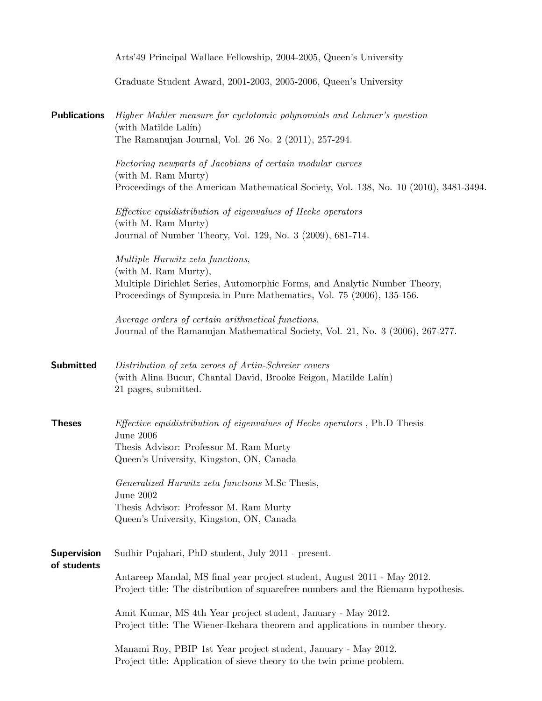|                                   | Arts'49 Principal Wallace Fellowship, 2004-2005, Queen's University                                                                                                                                            |
|-----------------------------------|----------------------------------------------------------------------------------------------------------------------------------------------------------------------------------------------------------------|
|                                   | Graduate Student Award, 2001-2003, 2005-2006, Queen's University                                                                                                                                               |
| <b>Publications</b>               | Higher Mahler measure for cyclotomic polynomials and Lehmer's question<br>(with Matilde Lalín)<br>The Ramanujan Journal, Vol. 26 No. 2 (2011), 257-294.                                                        |
|                                   | Factoring newparts of Jacobians of certain modular curves<br>(with M. Ram Murty)<br>Proceedings of the American Mathematical Society, Vol. 138, No. 10 (2010), 3481-3494.                                      |
|                                   | <i>Effective equidistribution of eigenvalues of Hecke operators</i><br>(with M. Ram Murty)<br>Journal of Number Theory, Vol. 129, No. 3 (2009), 681-714.                                                       |
|                                   | Multiple Hurwitz zeta functions,<br>(with M. Ram Murty),<br>Multiple Dirichlet Series, Automorphic Forms, and Analytic Number Theory,<br>Proceedings of Symposia in Pure Mathematics, Vol. 75 (2006), 135-156. |
|                                   | Average orders of certain arithmetical functions,<br>Journal of the Ramanujan Mathematical Society, Vol. 21, No. 3 (2006), 267-277.                                                                            |
| <b>Submitted</b>                  | Distribution of zeta zeroes of Artin-Schreier covers<br>(with Alina Bucur, Chantal David, Brooke Feigon, Matilde Lalín)<br>21 pages, submitted.                                                                |
| <b>Theses</b>                     | <i>Effective equidistribution of eigenvalues of Hecke operators</i> , Ph.D Thesis<br><b>June 2006</b><br>Thesis Advisor: Professor M. Ram Murty<br>Queen's University, Kingston, ON, Canada                    |
|                                   | Generalized Hurwitz zeta functions M.Sc Thesis,<br>June $2002$<br>Thesis Advisor: Professor M. Ram Murty<br>Queen's University, Kingston, ON, Canada                                                           |
| <b>Supervision</b><br>of students | Sudhir Pujahari, PhD student, July 2011 - present.                                                                                                                                                             |
|                                   | Antareep Mandal, MS final year project student, August 2011 - May 2012.<br>Project title: The distribution of squarefree numbers and the Riemann hypothesis.                                                   |
|                                   | Amit Kumar, MS 4th Year project student, January - May 2012.<br>Project title: The Wiener-Ikehara theorem and applications in number theory.                                                                   |
|                                   | Manami Roy, PBIP 1st Year project student, January - May 2012.<br>Project title: Application of sieve theory to the twin prime problem.                                                                        |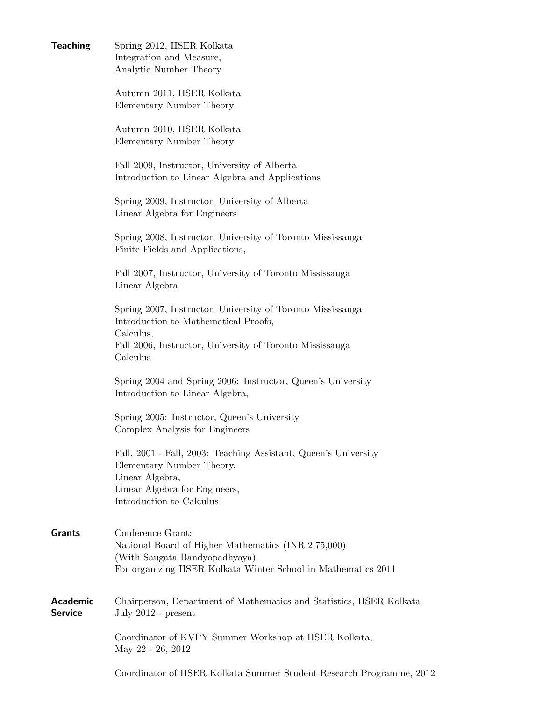Teaching Spring 2012, IISER Kolkata Integration and Measure, Analytic Number Theory Autumn 2011, IISER Kolkata Elementary Number Theory Autumn 2010, IISER Kolkata Elementary Number Theory Fall 2009, Instructor, University of Alberta Introduction to Linear Algebra and Applications Spring 2009, Instructor, University of Alberta Linear Algebra for Engineers Spring 2008, Instructor, University of Toronto Mississauga Finite Fields and Applications, Fall 2007, Instructor, University of Toronto Mississauga Linear Algebra Spring 2007, Instructor, University of Toronto Mississauga Introduction to Mathematical Proofs, Calculus, Fall 2006, Instructor, University of Toronto Mississauga Calculus Spring 2004 and Spring 2006: Instructor, Queen's University Introduction to Linear Algebra, Spring 2005: Instructor, Queen's University Complex Analysis for Engineers Fall, 2001 - Fall, 2003: Teaching Assistant, Queen's University Elementary Number Theory, Linear Algebra, Linear Algebra for Engineers, Introduction to Calculus Grants Conference Grant: National Board of Higher Mathematics (INR 2,75,000) (With Saugata Bandyopadhyaya) For organizing IISER Kolkata Winter School in Mathematics 2011 Academic Chairperson, Department of Mathematics and Statistics, IISER Kolkata Service July 2012 - present Coordinator of KVPY Summer Workshop at IISER Kolkata, May 22 - 26, 2012

Coordinator of IISER Kolkata Summer Student Research Programme, 2012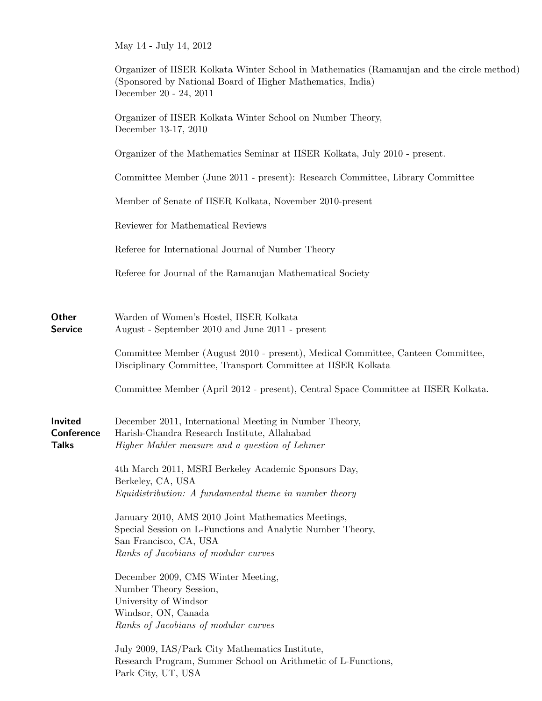|                                       | May 14 - July 14, 2012                                                                                                                                                             |
|---------------------------------------|------------------------------------------------------------------------------------------------------------------------------------------------------------------------------------|
|                                       | Organizer of IISER Kolkata Winter School in Mathematics (Ramanujan and the circle method)<br>(Sponsored by National Board of Higher Mathematics, India)<br>December 20 - 24, 2011  |
|                                       | Organizer of IISER Kolkata Winter School on Number Theory,<br>December 13-17, 2010                                                                                                 |
|                                       | Organizer of the Mathematics Seminar at IISER Kolkata, July 2010 - present.                                                                                                        |
|                                       | Committee Member (June 2011 - present): Research Committee, Library Committee                                                                                                      |
|                                       | Member of Senate of IISER Kolkata, November 2010-present                                                                                                                           |
|                                       | Reviewer for Mathematical Reviews                                                                                                                                                  |
|                                       | Referee for International Journal of Number Theory                                                                                                                                 |
|                                       | Referee for Journal of the Ramanujan Mathematical Society                                                                                                                          |
| Other<br>Service                      | Warden of Women's Hostel, IISER Kolkata<br>August - September 2010 and June 2011 - present                                                                                         |
|                                       | Committee Member (August 2010 - present), Medical Committee, Canteen Committee,<br>Disciplinary Committee, Transport Committee at IISER Kolkata                                    |
|                                       | Committee Member (April 2012 - present), Central Space Committee at IISER Kolkata.                                                                                                 |
| Invited<br>Conference<br><b>Talks</b> | December 2011, International Meeting in Number Theory,<br>Harish-Chandra Research Institute, Allahabad<br>Higher Mahler measure and a question of Lehmer                           |
|                                       | 4th March 2011, MSRI Berkeley Academic Sponsors Day,<br>Berkeley, CA, USA<br>Equidistribution: A fundamental theme in number theory                                                |
|                                       | January 2010, AMS 2010 Joint Mathematics Meetings,<br>Special Session on L-Functions and Analytic Number Theory,<br>San Francisco, CA, USA<br>Ranks of Jacobians of modular curves |
|                                       | December 2009, CMS Winter Meeting,<br>Number Theory Session,<br>University of Windsor<br>Windsor, ON, Canada<br>Ranks of Jacobians of modular curves                               |
|                                       | July 2009, IAS/Park City Mathematics Institute,<br>Research Program, Summer School on Arithmetic of L-Functions,<br>Park City, UT, USA                                             |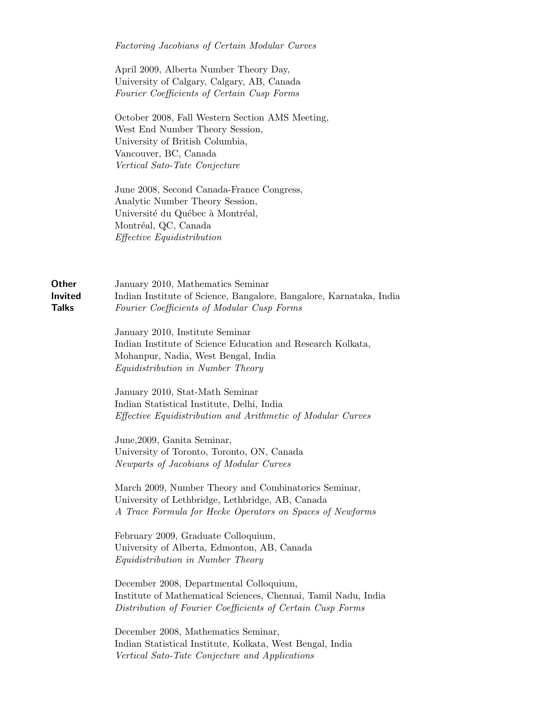Factoring Jacobians of Certain Modular Curves

April 2009, Alberta Number Theory Day, University of Calgary, Calgary, AB, Canada Fourier Coefficients of Certain Cusp Forms

October 2008, Fall Western Section AMS Meeting, West End Number Theory Session, University of British Columbia, Vancouver, BC, Canada Vertical Sato-Tate Conjecture

June 2008, Second Canada-France Congress, Analytic Number Theory Session, Université du Québec à Montréal, Montréal, QC, Canada Effective Equidistribution

**Other** January 2010, Mathematics Seminar **Invited** Indian Institute of Science, Bangalore, Bangalore, Karnataka, India Talks Fourier Coefficients of Modular Cusp Forms

> January 2010, Institute Seminar Indian Institute of Science Education and Research Kolkata, Mohanpur, Nadia, West Bengal, India Equidistribution in Number Theory

> January 2010, Stat-Math Seminar Indian Statistical Institute, Delhi, India Effective Equidistribution and Arithmetic of Modular Curves

June,2009, Ganita Seminar, University of Toronto, Toronto, ON, Canada Newparts of Jacobians of Modular Curves

March 2009, Number Theory and Combinatorics Seminar, University of Lethbridge, Lethbridge, AB, Canada A Trace Formula for Hecke Operators on Spaces of Newforms

February 2009, Graduate Colloquium, University of Alberta, Edmonton, AB, Canada Equidistribution in Number Theory

December 2008, Departmental Colloquium, Institute of Mathematical Sciences, Chennai, Tamil Nadu, India Distribution of Fourier Coefficients of Certain Cusp Forms

December 2008, Mathematics Seminar, Indian Statistical Institute, Kolkata, West Bengal, India Vertical Sato-Tate Conjecture and Applications